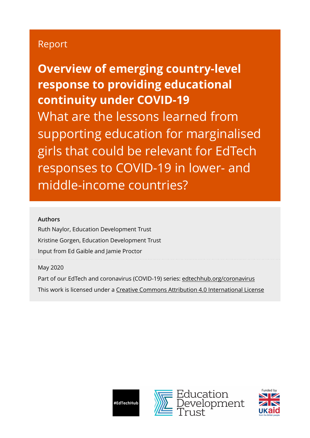# Report

**Overview of emerging country-level response to providing educational continuity under COVID-19**  What are the lessons learned from supporting education for marginalised girls that could be relevant for EdTech responses to COVID-19 in lower- and middle-income countries?

### **Authors**

Ruth Naylor, Education Development Trust Kristine Gorgen, Education Development Trust Input from Ed Gaible and Jamie Proctor

#### May 2020

Part of our EdTech and coronavirus (COVID-19) series: [edtechhub.org/coronavirus](http://edtechhub.org/coronavirus) This work is licensed under a [Creative Commons Attribution 4.0 International License](http://creativecommons.org/licenses/by/4.0/)





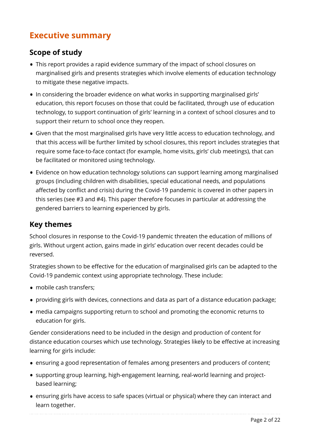# **Executive summary**

## **Scope of study**

- This report provides a rapid evidence summary of the impact of school closures on marginalised girls and presents strategies which involve elements of education technology to mitigate these negative impacts.
- In considering the broader evidence on what works in supporting marginalised girls' education, this report focuses on those that could be facilitated, through use of education technology, to support continuation of girls' learning in a context of school closures and to support their return to school once they reopen.
- Given that the most marginalised girls have very little access to education technology, and that this access will be further limited by school closures, this report includes strategies that require some face-to-face contact (for example, home visits, girls' club meetings), that can be facilitated or monitored using technology.
- Evidence on how education technology solutions can support learning among marginalised groups (including children with disabilities, special educational needs, and populations affected by conflict and crisis) during the Covid-19 pandemic is covered in other papers in this series (see #3 and #4). This paper therefore focuses in particular at addressing the gendered barriers to learning experienced by girls.

## **Key themes**

School closures in response to the Covid-19 pandemic threaten the education of millions of girls. Without urgent action, gains made in girls' education over recent decades could be reversed.

Strategies shown to be effective for the education of marginalised girls can be adapted to the Covid-19 pandemic context using appropriate technology. These include:

- mobile cash transfers:
- providing girls with devices, connections and data as part of a distance education package;
- media campaigns supporting return to school and promoting the economic returns to education for girls.

Gender considerations need to be included in the design and production of content for distance education courses which use technology. Strategies likely to be effective at increasing learning for girls include:

- ensuring a good representation of females among presenters and producers of content;
- supporting group learning, high-engagement learning, real-world learning and projectbased learning;
- ensuring girls have access to safe spaces (virtual or physical) where they can interact and learn together.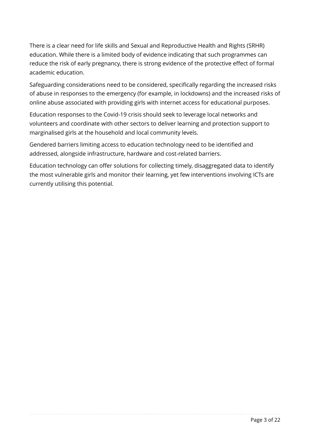There is a clear need for life skills and Sexual and Reproductive Health and Rights (SRHR) education. While there is a limited body of evidence indicating that such programmes can reduce the risk of early pregnancy, there is strong evidence of the protective effect of formal academic education.

Safeguarding considerations need to be considered, specifically regarding the increased risks of abuse in responses to the emergency (for example, in lockdowns) and the increased risks of online abuse associated with providing girls with internet access for educational purposes.

Education responses to the Covid-19 crisis should seek to leverage local networks and volunteers and coordinate with other sectors to deliver learning and protection support to marginalised girls at the household and local community levels.

Gendered barriers limiting access to education technology need to be identified and addressed, alongside infrastructure, hardware and cost-related barriers.

Education technology can offer solutions for collecting timely, disaggregated data to identify the most vulnerable girls and monitor their learning, yet few interventions involving ICTs are currently utilising this potential.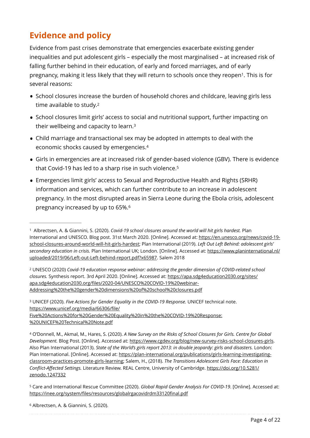# **Evidence and policy**

Evidence from past crises demonstrate that emergencies exacerbate existing gender inequalities and put adolescent girls – especially the most marginalised – at increased risk of falling further behind in their education, of early and forced marriages, and of early pregnancy, making it less likely that they will return to schools once they reopen<sup>[1](#page-3-0)</sup>. This is for several reasons:

- <span id="page-3-7"></span><span id="page-3-6"></span>• School closures increase the burden of household chores and childcare, leaving girls less time available to study.[2](#page-3-1)
- <span id="page-3-8"></span>• School closures limit girls' access to social and nutritional support, further impacting on their wellbeing and capacity to learn.[3](#page-3-2)
- <span id="page-3-9"></span>• Child marriage and transactional sex may be adopted in attempts to deal with the economic shocks caused by emergencies[.4](#page-3-3)
- <span id="page-3-10"></span>• Girls in emergencies are at increased risk of gender-based violence (GBV). There is evidence that Covid-19 has led to a sharp rise in such violence[.5](#page-3-4)
- <span id="page-3-11"></span>• Emergencies limit girls' access to Sexual and Reproductive Health and Rights (SRHR) information and services, which can further contribute to an increase in adolescent pregnancy. In the most disrupted areas in Sierra Leone during the Ebola crisis, adolescent pregnancy increased by up to 65%.[6](#page-3-5)

<span id="page-3-2"></span> UNICEF (2020). *Five Actions for Gender Equality in the COVID-19 Response.* UNICEF technical note. [3](#page-3-8) [https://www.unicef.org/media/66306/](https://www.unicef.org/media/66306/file/Five%20Actions%20for%20Gender%20Equality%20in%20the%20COVID-19%20Response:%20UNICEF%20Technical%20Note.pdf)file/ [Five%20Actions%20for%20Gender%20Equality%20in%20the%20COVID-19%20Response:](https://www.unicef.org/media/66306/file/Five%20Actions%20for%20Gender%20Equality%20in%20the%20COVID-19%20Response:%20UNICEF%20Technical%20Note.pdf) [%20UNICEF%20Technical%20Note.pdf](https://www.unicef.org/media/66306/file/Five%20Actions%20for%20Gender%20Equality%20in%20the%20COVID-19%20Response:%20UNICEF%20Technical%20Note.pdf)

<span id="page-3-3"></span> O'Donnell, M., Akmal, M., Hares, S. (2020). *A New Survey on the Risks of School Closures for Girls. Centre for Global* [4](#page-3-9) *Development.* Blog Post. [Online]. Accessed at: <https://www.cgdev.org/blog/new-survey-risks-school-closures-girls>. Also Plan International (2013). *State of the World's girls report 2013: in double jeopardy: girls and disasters.* London: [Plan International. \[Online\]. Accessed at: https://plan-international.org/publications/girls-learning-investigating](https://plan-international.org/publications/girls-learning-investigating-classroom-practices-promote-girls-learning)[classroom-practices-promote-girls-learning;](https://plan-international.org/publications/girls-learning-investigating-classroom-practices-promote-girls-learning) Salem, H., (2018). *The Transitions Adolescent Girls Face: Education in Conflict-Affected Settings.* Literature Review. REAL Centre, University of Cambridge. [https://doi.org/10.5281/](https://doi.org/10.5281/zenodo.1247332) [zenodo.1247332](https://doi.org/10.5281/zenodo.1247332)

<span id="page-3-5"></span><sup>[6](#page-3-11)</sup> Albrectsen, A. & Giannini, S. (2020).

<span id="page-3-0"></span>Albrectsen, A. & Giannini, S. (2020). *Covid-19 school closures around the world will hit girls hardest.* Plan [1](#page-3-6) International and UNESCO. Blog post. 31st March 2020. [Online]. Accessed at: [https://en.unesco.org/news/covid-19](https://en.unesco.org/news/covid-19-school-closures-around-world-will-hit-girls-hardest) [school-closures-around-world-will-hit-girls-hardest;](https://en.unesco.org/news/covid-19-school-closures-around-world-will-hit-girls-hardest) Plan International (2019). *Left Out Left Behind: adolescent girls' secondary education in crisis.* Plan International UK; London. [Online]. Accessed at: [https://www.planinternational.nl/](https://www.planinternational.nl/uploaded/2019/06/Left-out-Left-behind-report.pdf?x65987) [uploaded/2019/06/Left-out-Left-behind-report.pdf?x65987](https://www.planinternational.nl/uploaded/2019/06/Left-out-Left-behind-report.pdf?x65987). Salem 2018

<span id="page-3-1"></span>UNESCO (2020) *Covid-19 education response webinar: addressing the gender dimension of COVID-related school* [2](#page-3-7) *closures.* [Synthesis report. 3rd April 2020. \[Online\]. Accessed at: https://apa.sdg4education2030.org/sites/](https://apa.sdg4education2030.org/sites/apa.sdg4education2030.org/files/2020-04/UNESCO%20COVID-19%20webinar-Addressing%20the%20gender%20dimensions%20of%20school%20closures.pdf) apa.sdg4education2030.org/fi[les/2020-04/UNESCO%20COVID-19%20webinar-](https://apa.sdg4education2030.org/sites/apa.sdg4education2030.org/files/2020-04/UNESCO%20COVID-19%20webinar-Addressing%20the%20gender%20dimensions%20of%20school%20closures.pdf)[Addressing%20the%20gender%20dimensions%20of%20school%20closures.pdf](https://apa.sdg4education2030.org/sites/apa.sdg4education2030.org/files/2020-04/UNESCO%20COVID-19%20webinar-Addressing%20the%20gender%20dimensions%20of%20school%20closures.pdf)

<span id="page-3-4"></span>Care and International Rescue Committee (2020). *Global Rapid Gender Analysis For COVID-19*. [Online]. Accessed at: [5](#page-3-10) https://inee.org/system/fi[les/resources/globalrgacovidrdm33120](https://inee.org/system/files/resources/globalrgacovidrdm33120final.pdf)final.pdf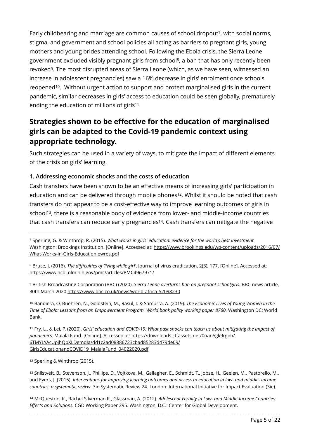<span id="page-4-10"></span><span id="page-4-9"></span><span id="page-4-8"></span>Early childbearing and marriage are common causes of school dropout<sup>7</sup>[,](#page-4-0) with social norms, stigma, and government and school policies all acting as barriers to pregnant girls, young mothers and young brides attending school. Following the Ebola crisis, the Sierra Leone government excluded visibly pregnant girls from school<sup>8</sup>[,](#page-4-1) a ban that has only recently been revoked<sup>9</sup>[.](#page-4-2) The most disrupted areas of Sierra Leone (which, as we have seen, witnessed an increase in adolescent pregnancies) saw a 16% decrease in girls' enrolment once schools reopened<sup>10</sup>[.](#page-4-3) Without urgent action to support and protect marginalised girls in the current pandemic, similar decreases in girls' access to education could be seen globally, prematurely ending the education of millions of girls<sup>[11](#page-4-4)</sup>.

## <span id="page-4-12"></span><span id="page-4-11"></span>**Strategies shown to be effective for the education of marginalised girls can be adapted to the Covid-19 pandemic context using appropriate technology.**

Such strategies can be used in a variety of ways, to mitigate the impact of different elements of the crisis on girls' learning.

#### **1. Addressing economic shocks and the costs of education**

<span id="page-4-14"></span><span id="page-4-13"></span>Cash transfers have been shown to be an effective means of increasing girls' participation in education and can be delivered through mobile phones<sup>12</sup>[.](#page-4-5) Whilst it should be noted that cash transfers do not appear to be a cost-effective way to improve learning outcomes of girls in school<sup>[13](#page-4-6)</sup>, there is a reasonable body of evidence from lower- and middle-income countries that cash transfers can reduce early pregnancies<sup>14</sup>[.](#page-4-7) Cash transfers can mitigate the negative

<span id="page-4-2"></span> British Broadcasting Corporation (BBC) (2020). *Sierra Leone overturns ban on pregnant schoolgirls.* BBC news article, [9](#page-4-10) 30th March 2020 <https://www.bbc.co.uk/news/world-africa-52098230>

<span id="page-4-3"></span><sup>[10](#page-4-11)</sup> Bandiera, O, Buehren, N., Goldstein, M., Rasul, I. & Samurra, A. (2019). *The Economic Lives of Young Women in the Time of Ebola: Lessons from an Empowerment Program. World bank policy working paper 8760.* Washington DC: World Bank.

<span id="page-4-4"></span> Fry, L., & Lei, P. (2020). *Girls' education and COVID-19: What past shocks can teach us about mitigating the impact of* [11](#page-4-12) *pandemics.* [Malala Fund. \[Online\]. Accessed at: https://downloads.ctfassets.net/0oan5gk9rgbh/](https://downloads.ctfassets.net/0oan5gk9rgbh/6TMYLYAcUpjhQpXLDgmdIa/dd1c2ad08886723cbad85283d479de09/GirlsEducationandCOVID19_MalalaFund_04022020.pdf) [6TMYLYAcUpjhQpXLDgmdIa/dd1c2ad08886723cbad85283d479de09/](https://downloads.ctfassets.net/0oan5gk9rgbh/6TMYLYAcUpjhQpXLDgmdIa/dd1c2ad08886723cbad85283d479de09/GirlsEducationandCOVID19_MalalaFund_04022020.pdf) [GirlsEducationandCOVID19\\_MalalaFund\\_04022020.pdf](https://downloads.ctfassets.net/0oan5gk9rgbh/6TMYLYAcUpjhQpXLDgmdIa/dd1c2ad08886723cbad85283d479de09/GirlsEducationandCOVID19_MalalaFund_04022020.pdf)

<span id="page-4-5"></span>[12](#page-4-13) Sperling & Winthrop (2015).

<span id="page-4-6"></span>[13](#page-4-14) Snilstveit, B., Stevenson, J., Phillips, D., Vojtkova, M., Gallagher, E., Schmidt, T., Jobse, H., Geelen, M., Pastorello, M., and Eyers, J. (2015). *Interventions for improving learning outcomes and access to education in low- and middle- income countries: a systematic review*. 3ie Systematic Review 24. London: International Initiative for Impact Evaluation (3ie).

<span id="page-4-7"></span>[14](#page-4-15) McQueston, K., Rachel Silverman, R., Glassman, A. (2012). *Adolescent Fertility in Low- and Middle-Income Countries: Effects and Solutions.* CGD Working Paper 295. Washington, D.C.: Center for Global Development.

<span id="page-4-15"></span><span id="page-4-0"></span>Sperling, G. & Winthrop, R. (2015). *What works in girls' education: evidence for the world's best investment.* [7](#page-4-8) Washington: Brookings Institution. [Online]. Accessed at: [https://www.brookings.edu/wp-content/uploads/2016/07/](https://www.brookings.edu/wp-content/uploads/2016/07/What-Works-in-Girls-Educationlowres.pdf) [What-Works-in-Girls-Educationlowres.pdf](https://www.brookings.edu/wp-content/uploads/2016/07/What-Works-in-Girls-Educationlowres.pdf)

<span id="page-4-1"></span>Bruce, J. (2016). *The difficulties of 'living while girl'*. Journal of virus eradication, 2(3), 177. [Online]. Accessed at: [8](#page-4-9) <https://www.ncbi.nlm.nih.gov/pmc/articles/PMC4967971/>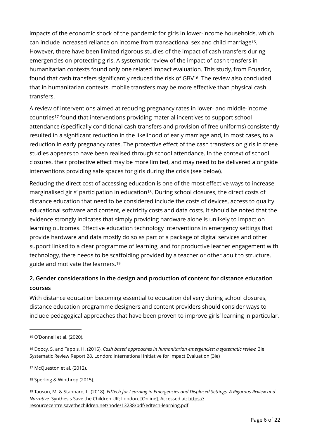<span id="page-5-5"></span>impacts of the economic shock of the pandemic for girls in lower-income households, which can include increased reliance on income from transactional sex and child marriage<sup>15</sup>[.](#page-5-0) However, there have been limited rigorous studies of the impact of cash transfers during emergencies on protecting girls. A systematic review of the impact of cash transfers in humanitarian contexts found only one related impact evaluation. This study, from Ecuador, found that cash transfers significantly reduced the risk of GBV<sup>16</sup>[.](#page-5-1) The review also concluded that in humanitarian contexts, mobile transfers may be more effective than physical cash transfers.

<span id="page-5-7"></span><span id="page-5-6"></span>A review of interventions aimed at reducing pregnancy rates in lower- and middle-income countries<sup>[17](#page-5-2)</sup> found that interventions providing material incentives to support school attendance (specifically conditional cash transfers and provision of free uniforms) consistently resulted in a significant reduction in the likelihood of early marriage and, in most cases, to a reduction in early pregnancy rates. The protective effect of the cash transfers on girls in these studies appears to have been realised through school attendance. In the context of school closures, their protective effect may be more limited, and may need to be delivered alongside interventions providing safe spaces for girls during the crisis (see below).

<span id="page-5-8"></span>Reducing the direct cost of accessing education is one of the most effective ways to increase marginalised girls' participation in education<sup>[18](#page-5-3)</sup>. During school closures, the direct costs of distance education that need to be considered include the costs of devices, access to quality educational software and content, electricity costs and data costs. It should be noted that the evidence strongly indicates that simply providing hardware alone is unlikely to impact on learning outcomes. Effective education technology interventions in emergency settings that provide hardware and data mostly do so as part of a package of digital services and other support linked to a clear programme of learning, and for productive learner engagement with technology, there needs to be scaffolding provided by a teacher or other adult to structure, guide and motivate the learners[.19](#page-5-4)

### <span id="page-5-9"></span>**2. Gender considerations in the design and production of content for distance education courses**

With distance education becoming essential to education delivery during school closures, distance education programme designers and content providers should consider ways to include pedagogical approaches that have been proven to improve girls' learning in particular.

<span id="page-5-4"></span> Tauson, M. & Stannard, L. (2018). *EdTech for Learning in Emergencies and Displaced Settings. A Rigorous Review and* [19](#page-5-9) *Narrative.* Synthesis Save the Children UK; London. [Online]. Accessed at: [https://](https://resourcecentre.savethechildren.net/node/13238/pdf/edtech-learning.pdf) [resourcecentre.savethechildren.net/node/13238/pdf/edtech-learning.pdf](https://resourcecentre.savethechildren.net/node/13238/pdf/edtech-learning.pdf)

<span id="page-5-0"></span>[<sup>15</sup>](#page-5-5) O'Donnell et al. (2020).

<span id="page-5-1"></span><sup>&</sup>lt;sup>[16](#page-5-6)</sup> Doocy, S. and Tappis, H. (2016). *Cash based approaches in humanitarian emergencies: a systematic review.* 3ie Systematic Review Report 28. London: International Initiative for Impact Evaluation (3ie)

<span id="page-5-2"></span><sup>&</sup>lt;sup>[17](#page-5-7)</sup> McQueston et al. (2012).

<span id="page-5-3"></span>[<sup>18</sup>](#page-5-8) Sperling & Winthrop (2015).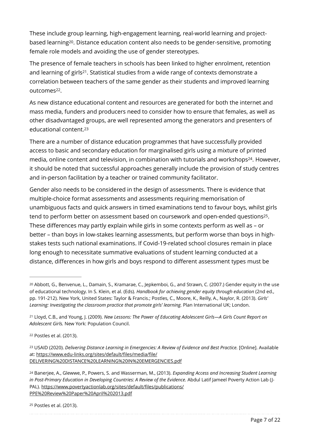<span id="page-6-6"></span>These include group learning, high-engagement learning, real-world learning and project-based learning<sup>20</sup>[.](#page-6-0) Distance education content also needs to be gender-sensitive, promoting female role models and avoiding the use of gender stereotypes.

<span id="page-6-7"></span>The presence of female teachers in schools has been linked to higher enrolment, retention and learning of girls<sup>21</sup>[.](#page-6-1) Statistical studies from a wide range of contexts demonstrate a correlation between teachers of the same gender as their students and improved learning  $O(10^{n} \text{m})$ 

<span id="page-6-8"></span>As new distance educational content and resources are generated for both the internet and mass media, funders and producers need to consider how to ensure that females, as well as other disadvantaged groups, are well represented among the generators and presenters of educational content.[23](#page-6-3)

<span id="page-6-10"></span><span id="page-6-9"></span>There are a number of distance education programmes that have successfully provided access to basic and secondary education for marginalised girls using a mixture of printed media, online content and television, in combination with tutorials and workshops<sup>24</sup>[.](#page-6-4) However, it should be noted that successful approaches generally include the provision of study centres and in-person facilitation by a teacher or trained community facilitator.

<span id="page-6-11"></span>Gender also needs to be considered in the design of assessments. There is evidence that multiple-choice format assessments and assessments requiring memorisation of unambiguous facts and quick answers in timed examinations tend to favour boys, whilst girls tend to perform better on assessment based on coursework and open-ended questions<sup>25</sup>[.](#page-6-5) These differences may partly explain while girls in some contexts perform as well as – or better – than boys in low-stakes learning assessments, but perform worse than boys in highstakes tests such national examinations. If Covid-19-related school closures remain in place long enough to necessitate summative evaluations of student learning conducted at a distance, differences in how girls and boys respond to different assessment types must be

<span id="page-6-5"></span><sup>[25](#page-6-11)</sup> Postles et al. (2013).

<span id="page-6-0"></span><sup>&</sup>lt;sup>20</sup>Abbott, G., Benvenue, L., Damain, S., Kramarae, C., Jepkemboi, G., and Strawn, C. ([20](#page-6-6)07.) Gender equity in the use of educational technology. In S. Klein, et al. (Eds). *Handbook for achieving gender equity through education* (2nd ed., pp. 191-212). New York, United States: Taylor & Francis.; Postles, C., Moore, K., Reilly, A., Naylor, R. (2013). *Girls' Learning: Investigating the classroom practice that promote girls' learning.* Plan International UK; London.

<span id="page-6-1"></span>Lloyd, C.B., and Young, J. (2009). *New Lessons: The Power of Educating Adolescent Girls—A Girls Count Report on* [21](#page-6-7) *Adolescent Girls.* New York: Population Council.

<span id="page-6-2"></span>[<sup>22</sup>](#page-6-8) Postles et al. (2013).

<span id="page-6-3"></span>USAID (2020). *Delivering Distance Learning in Emergencies: A Review of Evidence and Best Practice.* [Online]. Available [23](#page-6-9) at: [https://www.edu-links.org/sites/default/](https://www.edu-links.org/sites/default/files/media/file/DELIVERING%20DISTANCE%20LEARNING%20IN%20EMERGENCIES.pdf)files/media/file/ [DELIVERING%20DISTANCE%20LEARNING%20IN%20EMERGENCIES.pdf](https://www.edu-links.org/sites/default/files/media/file/DELIVERING%20DISTANCE%20LEARNING%20IN%20EMERGENCIES.pdf)

<span id="page-6-4"></span>Banerjee, A., Glewwe, P., Powers, S. and Wasserman, M., (2013). *Expanding Access and Increasing Student Learning* [24](#page-6-10) *in Post-Primary Education in Developing Countries: A Review of the Evidence. Abdul Latif lameel Poverty Action Lab (I-*[PAL\). https://www.povertyactionlab.org/sites/default/](https://www.povertyactionlab.org/sites/default/files/publications/PPE%20Review%20Paper%20April%202013.pdf)files/publications/ [PPE%20Review%20Paper%20April%202013.pdf](https://www.povertyactionlab.org/sites/default/files/publications/PPE%20Review%20Paper%20April%202013.pdf)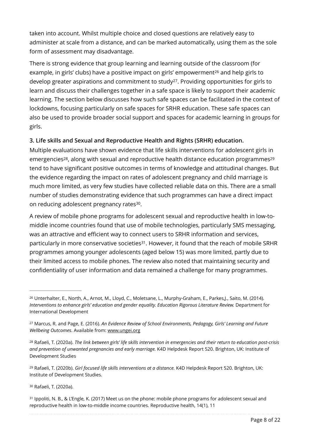taken into account. Whilst multiple choice and closed questions are relatively easy to administer at scale from a distance, and can be marked automatically, using them as the sole form of assessment may disadvantage.

<span id="page-7-7"></span><span id="page-7-6"></span>There is strong evidence that group learning and learning outside of the classroom (for example, in girls' clubs) have a positive impac[t](#page-7-0) on girls' empowerment<sup>[26](#page-7-0)</sup> and help girls to develop greater aspirations and commitment to study<sup>27</sup>[.](#page-7-1) Providing opportunities for girls to learn and discuss their challenges together in a safe space is likely to support their academic learning. The section below discusses how such safe spaces can be facilitated in the context of lockdowns, focusing particularly on safe spaces for SRHR education. These safe spaces can also be used to provide broader social support and spaces for academic learning in groups for girls.

#### **3. Life skills and Sexual and Reproductive Health and Rights (SRHR) education.**

<span id="page-7-9"></span><span id="page-7-8"></span>Multiple evaluations have shown evidence that life skills interventions for adolescent girls in emergencies<sup>[28](#page-7-2)</sup>, along with sexual and reproductive health distance education programmes<sup>29</sup> tend to have significant positive outcomes in terms of knowledge and attitudinal changes. But the evidence regarding the impact on rates of adolescent pregnancy and child marriage is much more limited, as very few studies have collected reliable data on this. There are a small number of studies demonstrating evidence that such programmes can have a direct impact on reducing adolescent pregnancy rates<sup>30</sup>[.](#page-7-4)

<span id="page-7-11"></span><span id="page-7-10"></span>A review of mobile phone programs for adolescent sexual and reproductive health in low-tomiddle income countries found that use of mobile technologies, particularly SMS messaging, was an attractive and efficient way to connect users to SRHR information and services, particularly in more conservative societies<sup>31</sup>[.](#page-7-5) However, it found that the reach of mobile SRHR programmes among younger adolescents (aged below 15) was more limited, partly due to their limited access to mobile phones. The review also noted that maintaining security and confidentiality of user information and data remained a challenge for many programmes.

<span id="page-7-4"></span><sup>[30](#page-7-10)</sup> Rafaeli, T. (2020a).

<span id="page-7-5"></span><sup>31</sup>Ippoliti, N. B., & L'Engle, K. (2017) Meet us on the phone: mobile phone programs for adolescent sexual and reproductive health in low-to-middle income countries. Reproductive health, 14(1), 11

<span id="page-7-0"></span><sup>&</sup>lt;sup>26</sup>Unterhalter, E., North, A., Arnot, M., Lloyd, C., Moletsane, L., Murphy-Graham, E., Parkes, J., Saito, M. (2014). *Interventions to enhance girls' education and gender equality. Education Rigorous Literature Review.* Department for International Development

<span id="page-7-1"></span>Marcus, R. and Page, E. (2016). *An Evidence Review of School Environments, Pedagogy, Girls' Learning and Future* [27](#page-7-7) *Wellbeing Outcomes*. Available from: [www.ungei.org](http://www.ungei.org)

<span id="page-7-2"></span>Rafaeli, T. (2020a). *The link between girls' life skills intervention in emergencies and their return to education post-crisis* [28](#page-7-8) *and prevention of unwanted pregnancies and early marriage.* K4D Helpdesk Report 520. Brighton, UK: Institute of Development Studies

<span id="page-7-3"></span><sup>&</sup>lt;sup>[29](#page-7-9)</sup> Rafaeli, T. (2020b). *Girl focused life skills interventions at a distance.* K4D Helpdesk Report 520. Brighton, UK: Institute of Development Studies.

Page 8 of 22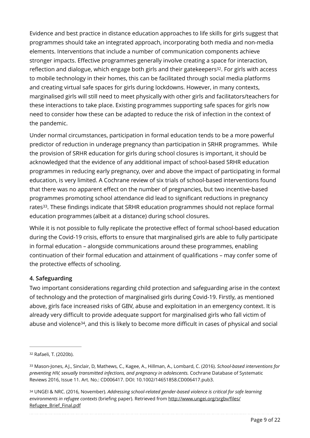<span id="page-8-3"></span>Evidence and best practice in distance education approaches to life skills for girls suggest that programmes should take an integrated approach, incorporating both media and non-media elements. Interventions that include a number of communication components achieve stronger impacts. Effective programmes generally involve creating a space for interaction, reflection and dialogue, which engage both girls and their gatekeepers<sup>32</sup>[.](#page-8-0) For girls with access to mobile technology in their homes, this can be facilitated through social media platforms and creating virtual safe spaces for girls during lockdowns. However, in many contexts, marginalised girls will still need to meet physically with other girls and facilitators/teachers for these interactions to take place. Existing programmes supporting safe spaces for girls now need to consider how these can be adapted to reduce the risk of infection in the context of the pandemic.

Under normal circumstances, participation in formal education tends to be a more powerful predictor of reduction in underage pregnancy than participation in SRHR programmes. While the provision of SRHR education for girls during school closures is important, it should be acknowledged that the evidence of any additional impact of school-based SRHR education programmes in reducing early pregnancy, over and above the impact of participating in formal education, is very limited. A Cochrane review of six trials of school-based interventions found that there was no apparent effect on the number of pregnancies, but two incentive-based programmes promoting school attendance did lead to significant reductions in pregnancy rates<sup>[33](#page-8-1)</sup>. These findings indicate that SRHR education programmes should not replace formal education programmes (albeit at a distance) during school closures.

<span id="page-8-4"></span>While it is not possible to fully replicate the protective effect of formal school-based education during the Covid-19 crisis, efforts to ensure that marginalised girls are able to fully participate in formal education – alongside communications around these programmes, enabling continuation of their formal education and attainment of qualifications – may confer some of the protective effects of schooling.

#### **4. Safeguarding**

Two important considerations regarding child protection and safeguarding arise in the context of technology and the protection of marginalised girls during Covid-19. Firstly, as mentioned above, girls face increased risks of GBV, abuse and exploitation in an emergency context. It is already very difficult to provide adequate support for marginalised girls who fall victim of abuse and violence<sup>[34](#page-8-2)</sup>, and this is likely to become more difficult in cases of physical and social

<span id="page-8-2"></span> UNGEI & NRC. (2016, November). *Addressing school-related gender-based violence is critical for safe learning* [34](#page-8-5) *environments in refugee contexts* (briefing paper). Retrieved from [http://www.ungei.org/srgbv/](http://www.ungei.org/srgbv/files/Refugee_Brief_Final.pdf)files/ Refugee Brief Final.pdf

<span id="page-8-5"></span><span id="page-8-0"></span>[<sup>32</sup>](#page-8-3) Rafaeli, T. (2020b).

<span id="page-8-1"></span>Mason-Jones, AJ., Sinclair, D, Mathews, C., Kagee, A., Hillman, A., Lombard, C. (2016). *School-based interventions for* [33](#page-8-4) *preventing HIV, sexually transmitted infections, and pregnancy in adolescents.* Cochrane Database of Systematic Reviews 2016, Issue 11. Art. No.: CD006417. DOI: 10.1002/14651858.CD006417.pub3.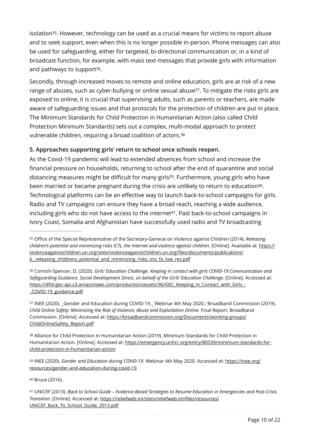<span id="page-9-7"></span>isolation<sup>35</sup>[.](#page-9-0) However, technology can be used as a crucial means for victims to report abuse and to seek support, even when this is no longer possible in-person. Phone messages can also be used for safeguarding, either for targeted, bi-directional communication or, in a kind of broadcast function, for example, with mass text messages that provide girls with information and pathways to support $36$ .

<span id="page-9-9"></span><span id="page-9-8"></span>Secondly, through increased moves to remote and online education, girls are at risk of a new range of abuses, such as cyber-bullying or online sexual abuse  $37$ . To mitigate the risks girls are exposed to online, it is crucial that supervising adults, such as parents or teachers, are made aware of safeguarding issues and that protocols for the protection of children are put in place. The Minimum Standards for Child Protection in Humanitarian Action (also called Child Protection Minimum Standards) sets out a complex, multi-modal approach to protect vulnerable children, requiring a broad coalition of actors.[38](#page-9-3)

#### <span id="page-9-10"></span>**5. Approaches supporting girls' return to school once schools reopen.**

<span id="page-9-12"></span><span id="page-9-11"></span>As the Covid-19 pandemic will lead to extended absences from school and increase the financial pressure on households, returning to school after the end of quarantine and social distancing measures might be difficult for many girls<sup>[39](#page-9-4)</sup>. Furthermore, young girls who have been married or became pregnant during the crisis are unlikely to return to education<sup>40</sup>[.](#page-9-5) Technological platforms can be an effective way to launch back-to-school campaigns for girls. Radio and TV campaigns can ensure they have a broad reach, reaching a wide audience, including girls who do not have access to the internet<sup>[41](#page-9-6)</sup>. Past back-to-school campaigns in Ivory Coast, Somalia and Afghanistan have successfully used radio and TV broadcasting

<span id="page-9-5"></span>Bruce (2016). [40](#page-9-12)

<span id="page-9-6"></span> UNICEF (2013). *Back to School Guide – Evidence-Based Strategies to Resume Education in Emergencies and Post-Crisis* [41](#page-9-13) *Transition.* [\[Online\]. Accessed at: https://reliefweb.int/sites/reliefweb.int/](https://reliefweb.int/sites/reliefweb.int/files/resources/UNICEF_Back_To_School_Guide_2013.pdf)files/resources/ UNICEF Back To School Guide 2013.pdf

<span id="page-9-13"></span><span id="page-9-0"></span>Office of the Special Representative of the Secretary-General on Violence against Children (2014). *Releasing* [35](#page-9-7) *children's potential and minimizing risks ICTs, the Internet and violence against children.* [Online]. Available at: [https://](https://violenceagainstchildren.un.org/sites/violenceagainstchildren.un.org/files/documents/publications/6._releasing_childrens_potential_and_minimizing_risks_icts_fa_low_res.pdf) [violenceagainstchildren.un.org/sites/violenceagainstchildren.un.org/](https://violenceagainstchildren.un.org/sites/violenceagainstchildren.un.org/files/documents/publications/6._releasing_childrens_potential_and_minimizing_risks_icts_fa_low_res.pdf)files/documents/publications/ 6. releasing childrens potential and minimizing risks icts fa low res.pdf

<span id="page-9-1"></span>Cornish-Spencer, D. (2020). *Girls' Education Challenge. Keeping in contact with girls COVID-19 Communication and* [36](#page-9-8) *Safeguarding Guidance. Social Development Direct, on behalf of the Girls' Education Challenge.* [Online]. Accessed at: https://dfi[d-gec-api.s3.amazonaws.com/production/assets/36/GEC\\_Keeping\\_in\\_Contact\\_with\\_Girls\\_-](https://dfid-gec-api.s3.amazonaws.com/production/assets/36/GEC_Keeping_in_Contact_with_Girls_-_COVID-19_guidance.pdf) [\\_COVID-19\\_guidance.pdf](https://dfid-gec-api.s3.amazonaws.com/production/assets/36/GEC_Keeping_in_Contact_with_Girls_-_COVID-19_guidance.pdf)

<span id="page-9-2"></span><sup>&</sup>lt;sup>37</sup>INEE (2020). \_Gender and Education during COVID-19.\_ Webinar 4th May 2020.; Broadband Commission (2019). *Child Online Safety: Minimizing the Risk of Violence, Abuse and Exploitation Online.* Final Report. Broadband Commission. [Online]. Accessed at: [https://broadbandcommission.org/Documents/working-groups/](https://broadbandcommission.org/Documents/working-groups/ChildOnlineSafety_Report.pdf) [ChildOnlineSafety\\_Report.pdf](https://broadbandcommission.org/Documents/working-groups/ChildOnlineSafety_Report.pdf)

<span id="page-9-3"></span><sup>38</sup>Alliance for Child Protection in Humanitarian Action (2019). Minimum Standards for Child Protection in Humanitarian Action. [Online]. Accessed at: [https://emergency.unhcr.org/entry/80339/minimum-standards-for](https://emergency.unhcr.org/entry/80339/minimum-standards-for-child-protection-in-humanitarian-action)[child-protection-in-humanitarian-action](https://emergency.unhcr.org/entry/80339/minimum-standards-for-child-protection-in-humanitarian-action)

<span id="page-9-4"></span><sup>&</sup>lt;sup>[39](#page-9-11)</sup> INEE (2020). *Gender and Education during COVID-19*. Webinar 4th May 2020. Accessed at: [https://inee.org/](https://inee.org/resources/gender-and-education-during-covid-19) [resources/gender-and-education-during-covid-19](https://inee.org/resources/gender-and-education-during-covid-19)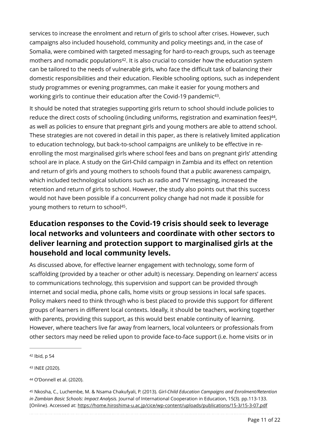<span id="page-10-4"></span>services to increase the enrolment and return of girls to school after crises. However, such campaigns also included household, community and policy meetings and, in the case of Somalia, were combined with targeted messaging for hard-to-reach groups, such as teenage mothers and nomadic populations<sup>[42](#page-10-0)</sup>. It is also crucial to consider how the education system can be tailored to the needs of vulnerable girls, who face the difficult task of balancing their domestic responsibilities and their education. Flexible schooling options, such as independent study programmes or evening programmes, can make it easier for young mothers and working girls to continue their education after the Covid-19 pandemic<sup>[43](#page-10-1)</sup>.

<span id="page-10-6"></span><span id="page-10-5"></span>It should be noted that strategies supporting girls return to school should include policies to reduce the direct costs of schooling (including uniforms, registration and examination fees)<sup>[44](#page-10-2)</sup>, as well as policies to ensure that pregnant girls and young mothers are able to attend school. These strategies are not covered in detail in this paper, as there is relatively limited application to education technology, but back-to-school campaigns are unlikely to be effective in reenrolling the most marginalised girls where school fees and bans on pregnant girls' attending school are in place. A study on the Girl-Child campaign in Zambia and its effect on retention and return of girls and young mothers to schools found that a public awareness campaign, which included technological solutions such as radio and TV messaging, increased the retention and return of girls to school. However, the study also points out that this success would not have been possible if a concurrent policy change had not made it possible for young mothers to return to school<sup>[45](#page-10-3)</sup>.

## <span id="page-10-7"></span>**Education responses to the Covid-19 crisis should seek to leverage local networks and volunteers and coordinate with other sectors to deliver learning and protection support to marginalised girls at the household and local community levels.**

As discussed above, for effective learner engagement with technology, some form of scaffolding (provided by a teacher or other adult) is necessary. Depending on learners' access to communications technology, this supervision and support can be provided through internet and social media, phone calls, home visits or group sessions in local safe spaces. Policy makers need to think through who is best placed to provide this support for different groups of learners in different local contexts. Ideally, it should be teachers, working together with parents, providing this support, as this would best enable continuity of learning. However, where teachers live far away from learners, local volunteers or professionals from other sectors may need be relied upon to provide face-to-face support (i.e. home visits or in

<span id="page-10-0"></span>[<sup>42</sup>](#page-10-4) Ibid, p 54

<span id="page-10-1"></span>[<sup>43</sup>](#page-10-5) INEE (2020).

<span id="page-10-2"></span>O'Donnell et al. (2020). [44](#page-10-6)

<span id="page-10-3"></span>Nkosha, C., Luchembe, M. & Nsama Chakufyali, P. (2013). *Girl-Child Education Campaigns and Enrolment/Retention* [45](#page-10-7) *in Zambian Basic Schools: Impact Analysis.* Journal of International Cooperation in Education, 15(3). pp.113-133. [Online}. Accessed at:<https://home.hiroshima-u.ac.jp/cice/wp-content/uploads/publications/15-3/15-3-07.pdf>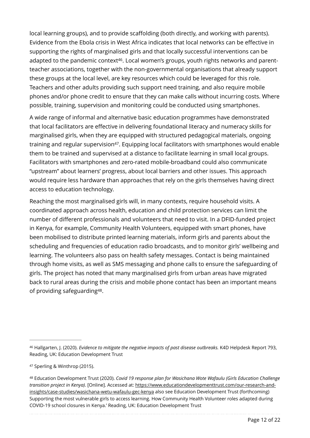<span id="page-11-3"></span>local learning groups), and to provide scaffolding (both directly, and working with parents). Evidence from the Ebola crisis in West Africa indicates that local networks can be effective in supporting the rights of marginalised girls and that locally successful interventions can be adapted to the pandemic context<sup>[46](#page-11-0)</sup>. Local women's groups, youth rights networks and parentteacher associations, together with the non-governmental organisations that already support these groups at the local level, are key resources which could be leveraged for this role. Teachers and other adults providing such support need training, and also require mobile phones and/or phone credit to ensure that they can make calls without incurring costs. Where possible, training, supervision and monitoring could be conducted using smartphones.

<span id="page-11-4"></span>A wide range of informal and alternative basic education programmes have demonstrated that local facilitators are effective in delivering foundational literacy and numeracy skills for marginalised girls, when they are equipped with structured pedagogical materials, ongoing training and regular supervision<sup>[47](#page-11-1)</sup>. Equipping local facilitators with smartphones would enable them to be trained and supervised at a distance to facilitate learning in small local groups. Facilitators with smartphones and zero-rated mobile-broadband could also communicate "upstream" about learners' progress, about local barriers and other issues. This approach would require less hardware than approaches that rely on the girls themselves having direct access to education technology.

Reaching the most marginalised girls will, in many contexts, require household visits. A coordinated approach across health, education and child protection services can limit the number of different professionals and volunteers that need to visit. In a DFID-funded project in Kenya, for example, Community Health Volunteers, equipped with smart phones, have been mobilised to distribute printed learning materials, inform girls and parents about the scheduling and frequencies of education radio broadcasts, and to monitor girls' wellbeing and learning. The volunteers also pass on health safety messages. Contact is being maintained through home visits, as well as SMS messaging and phone calls to ensure the safeguarding of girls. The project has noted that many marginalised girls from urban areas have migrated back to rural areas during the crisis and mobile phone contact has been an important means of providing safeguarding<sup>48</sup>[.](#page-11-2)

<span id="page-11-5"></span><span id="page-11-0"></span>Hallgarten, J. (2020). *Evidence to mitigate the negative impacts of past disease outbreaks.* K4D Helpdesk Report 793, [46](#page-11-3) Reading, UK: Education Development Trust

<span id="page-11-1"></span><sup>&</sup>lt;sup>[47](#page-11-4)</sup> Sperling & Winthrop (2015).

<span id="page-11-2"></span>Education Development Trust (2020). *Covid 19 response plan for Wasichana Wote Wafaulu (Girls Education Challenge* [48](#page-11-5) *transition project in Kenya)*[. \[Online\]. Accessed at: https://www.educationdevelopmenttrust.com/our-research-and](https://www.educationdevelopmenttrust.com/our-research-and-insights/case-studies/wasichana-wetu-wafaulu-gec-kenya)[insights/case-studies/wasichana-wetu-wafaulu-gec-kenya](https://www.educationdevelopmenttrust.com/our-research-and-insights/case-studies/wasichana-wetu-wafaulu-gec-kenya) also see Education Development Trust (forthcoming) Supporting the most vulnerable girls to access learning. How Community Health Volunteer roles adapted during COVID-19 school closures in Kenya.' Reading, UK: Education Development Trust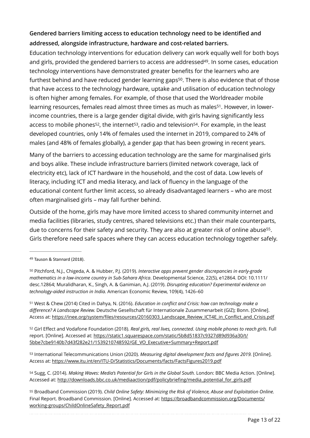### **Gendered barriers limiting access to education technology need to be identified and addressed, alongside infrastructure, hardware and cost-related barriers.**

<span id="page-12-8"></span><span id="page-12-7"></span>Education technology interventions for education delivery can work equally well for both boys and girls, provided the gendered barriers to access are addressed<sup>49</sup>[.](#page-12-0) In some cases, education technology interventions have demonstrated greater benefits for the learners who are furthest behind and have reduced gender learning gaps<sup>50</sup>[.](#page-12-1) There is also evidence that of those that have access to the technology hardware, uptake and utilisation of education technology is often higher among females. For example, of those that used the Worldreader mobile learning resources, females read almost three times as much as males<sup>[51](#page-12-2)</sup>. However, in lowerincome countries, there is a large gender digital divide, with girls having significantly less access to mobile phones<sup>52</sup>, the internet<sup>53</sup>, radio and television<sup>54</sup>[.](#page-12-5) For example, in the least developed countries, only 14% of females used the internet in 2019, compared to 24% of males (and 48% of females globally), a gender gap that has been growing in recent years.

<span id="page-12-12"></span><span id="page-12-11"></span><span id="page-12-10"></span><span id="page-12-9"></span>Many of the barriers to accessing education technology are the same for marginalised girls and boys alike. These include infrastructure barriers (limited network coverage, lack of electricity etc), lack of ICT hardware in the household, and the cost of data. Low levels of literacy, including ICT and media literacy, and lack of fluency in the language of the educational content further limit access, so already disadvantaged learners – who are most often marginalised girls – may fall further behind.

Outside of the home, girls may have more limited access to shared community internet and media facilities (libraries, study centres, shared televisions etc.) than their male counterparts, due to concerns for their safety and security[.](#page-12-6) They are also at greater risk of online abuse<sup>[55](#page-12-6)</sup>. Girls therefore need safe spaces where they can access education technology together safely.

<span id="page-12-2"></span> West & Chew (2014) Cited in Dahya, N. (2016). *Education in conflict and Crisis: how can technology make a* [51](#page-12-9) *difference? A Landscape Review.* Deutsche Gesellschaft für Internationale Zusammenarbeit (GIZ); Bonn. [Online]. Access at: https://inee.org/system/fi[les/resources/20160303\\_Landscape\\_Review\\_ICT4E\\_in\\_Con](https://inee.org/system/files/resources/20160303_Landscape_Review_ICT4E_in_Conflict_and_Crisis.pdf)flict\_and\_Crisis.pdf

<span id="page-12-3"></span> Girl Effect and Vodafone Foundation (2018). *Real girls, real lives, connected. Using mobile phones to reach girls.* Full [52](#page-12-10) report. [Online]. Accessed at: [https://static1.squarespace.com/static/5b8d51837c9327d89d936a30/t/](https://static1.squarespace.com/static/5b8d51837c9327d89d936a30/t/5bbe7cbe9140b7d43f282e21/1539210748592/GE_VO_Executive+Summary+Report.pdf) [5bbe7cbe9140b7d43f282e21/1539210748592/GE\\_VO\\_Executive+Summary+Report.pdf](https://static1.squarespace.com/static/5b8d51837c9327d89d936a30/t/5bbe7cbe9140b7d43f282e21/1539210748592/GE_VO_Executive+Summary+Report.pdf)

<span id="page-12-4"></span> International Telecommunications Union (2020). *Measuring digital development facts and figures 2019.* [Online]. [53](#page-12-11) Access at: <https://www.itu.int/en/ITU-D/Statistics/Documents/facts/FactsFigures2019.pdf>

<span id="page-12-5"></span><sup>[54](#page-12-12)</sup> Sugg, C. (2014). *Making Waves: Media's Potential for Girls in the Global South.* London: BBC Media Action. [Online]. Accessed at: [http://downloads.bbc.co.uk/mediaaction/pdf/policybrie](http://downloads.bbc.co.uk/mediaaction/pdf/policybriefing/media_potential_for_girls.pdf)fing/media\_potential\_for\_girls.pdf

<span id="page-12-6"></span> Broadband Commission (2019). *Child Online Safety: Minimizing the Risk of Violence, Abuse and Exploitation Online.* [55](#page-12-13) Final Report. Broadband Commission. [Online]. Accessed at: [https://broadbandcommission.org/Documents/](https://broadbandcommission.org/Documents/working-groups/ChildOnlineSafety_Report.pdf) [working-groups/ChildOnlineSafety\\_Report.pdf](https://broadbandcommission.org/Documents/working-groups/ChildOnlineSafety_Report.pdf)

<span id="page-12-13"></span>Page 13 of 22

<span id="page-12-0"></span>[<sup>49</sup>](#page-12-7) Tauson & Stannard (2018).

<span id="page-12-1"></span>Pitchford, N.J., Chigeda, A. & Hubber, P.J. (2019). *Interactive apps prevent gender discrepancies in early-grade* [50](#page-12-8) *mathematics in a low-income country in Sub-Sahara Africa*. Developmental Science, 22(5), e12864. DOI: 10.1111/ desc.12864; Muralidharan, K., Singh, A. & Ganimian, A.J. (2019). *Disrupting education? Experimental evidence on technology-aided instruction in India.* American Economic Review, 109(4), 1426–60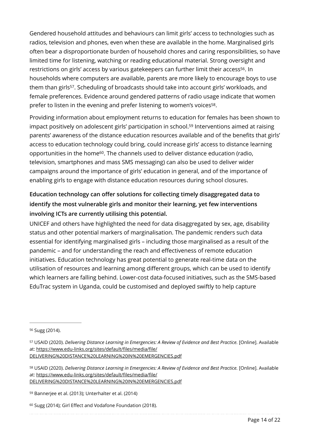<span id="page-13-5"></span>Gendered household attitudes and behaviours can limit girls' access to technologies such as radios, television and phones, even when these are available in the home. Marginalised girls often bear a disproportionate burden of household chores and caring responsibilities, so have limited time for listening, watching or reading educational material. Strong oversight and restrictions on girls' access by various gatekeepers can further limit their access<sup>[56](#page-13-0)</sup>. In households where computers are available, parents are more likely to encourage boys to use them than girls<sup>57</sup>[.](#page-13-1) Scheduling of broadcasts should take into account girls' workloads, and female preferences. Evidence around gendered patterns of radio usage indicate that women prefer to listen in the evening and prefer listening to women's voices<sup>[58](#page-13-2)</sup>.

<span id="page-13-9"></span><span id="page-13-8"></span><span id="page-13-7"></span><span id="page-13-6"></span>Providing information about employment returns to education for females has been shown to impact positively on adolescent girls' participation in school.<sup>[59](#page-13-3)</sup> Interventions aimed at raising parents' awareness of the distance education resources available and of the benefits that girls' access to education technology could bring, could increase girls' access to distance learning opportunities in the home<sup>[60](#page-13-4)</sup>. The channels used to deliver distance education (radio, television, smartphones and mass SMS messaging) can also be used to deliver wider campaigns around the importance of girls' education in general, and of the importance of enabling girls to engage with distance education resources during school closures.

## **Education technology can offer solutions for collecting timely disaggregated data to identify the most vulnerable girls and monitor their learning, yet few interventions involving ICTs are currently utilising this potential.**

UNICEF and others have highlighted the need for data disaggregated by sex, age, disability status and other potential markers of marginalisation. The pandemic renders such data essential for identifying marginalised girls – including those marginalised as a result of the pandemic – and for understanding the reach and effectiveness of remote education initiatives. Education technology has great potential to generate real-time data on the utilisation of resources and learning among different groups, which can be used to identify which learners are falling behind. Lower-cost data-focused initiatives, such as the SMS-based EduTrac system in Uganda, could be customised and deployed swiftly to help capture

<span id="page-13-0"></span>[<sup>56</sup>](#page-13-5) Sugg (2014).

<span id="page-13-1"></span>USAID (2020). *Delivering Distance Learning in Emergencies: A Review of Evidence and Best Practice.* [Online]. Available [57](#page-13-6) at: [https://www.edu-links.org/sites/default/](https://www.edu-links.org/sites/default/files/media/file/DELIVERING%20DISTANCE%20LEARNING%20IN%20EMERGENCIES.pdf)files/media/file/ [DELIVERING%20DISTANCE%20LEARNING%20IN%20EMERGENCIES.pdf](https://www.edu-links.org/sites/default/files/media/file/DELIVERING%20DISTANCE%20LEARNING%20IN%20EMERGENCIES.pdf)

<span id="page-13-2"></span>USAID (2020). *Delivering Distance Learning in Emergencies: A Review of Evidence and Best Practice.* [Online]. Available [58](#page-13-7) at: [https://www.edu-links.org/sites/default/](https://www.edu-links.org/sites/default/files/media/file/DELIVERING%20DISTANCE%20LEARNING%20IN%20EMERGENCIES.pdf)files/media/file/ [DELIVERING%20DISTANCE%20LEARNING%20IN%20EMERGENCIES.pdf](https://www.edu-links.org/sites/default/files/media/file/DELIVERING%20DISTANCE%20LEARNING%20IN%20EMERGENCIES.pdf)

<span id="page-13-3"></span>[<sup>59</sup>](#page-13-8) Bannerjee et al. (2013); Unterhalter et al. (2014)

<span id="page-13-4"></span><sup>&</sup>lt;sup>[60](#page-13-9)</sup> Sugg (2014); Girl Effect and Vodafone Foundation (2018).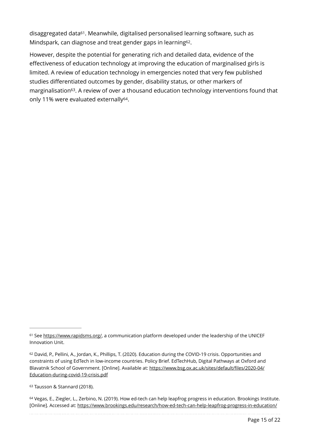<span id="page-14-5"></span><span id="page-14-4"></span>disaggregated data<sup>[61](#page-14-0)</sup>. Meanwhile, digitalised personalised learning software, such as Mindspark, can diagnose and treat gender gaps in learning<sup>62</sup>[.](#page-14-1)

<span id="page-14-7"></span><span id="page-14-6"></span>However, despite the potential for generating rich and detailed data, evidence of the effectiveness of education technology at improving the education of marginalised girls is limited. A review of education technology in emergencies noted that very few published studies differentiated outcomes by gender, disability status, or other markers of marginalisation<sup>[63](#page-14-2)</sup>. A review of over a thousand education technology interventions found that only 11% were evaluated externally<sup>[64](#page-14-3)</sup>.

<span id="page-14-2"></span><sup>[63](#page-14-6)</sup> Tausson & Stannard (2018).

<span id="page-14-3"></span><sup>64</sup>Vegas, E., Ziegler, L., Zerbino, N. (2019). How ed-tech can help leapfrog progress in education. Brookings Institute. [Online]. Accessed at: <https://www.brookings.edu/research/how-ed-tech-can-help-leapfrog-progress-in-education/>

Page 15 of 22

<span id="page-14-0"></span><sup>61</sup>See<https://www.rapidsms.org/>, a communication platform developed under the leadership of the UNICEF Innovation Unit.

<span id="page-14-1"></span><sup>62</sup>David, P., Pellini, A., Jordan, K., Phillips, T. (2020). Education during the COVID-19 crisis. Opportunities and constraints of using EdTech in low-income countries. Policy Brief. EdTechHub, Digital Pathways at Oxford and Blavatnik School of Government. [Online]. Available at: [https://www.bsg.ox.ac.uk/sites/default/](https://www.bsg.ox.ac.uk/sites/default/files/2020-04/Education-during-covid-19-crisis.pdf)files/2020-04/ [Education-during-covid-19-crisis.pdf](https://www.bsg.ox.ac.uk/sites/default/files/2020-04/Education-during-covid-19-crisis.pdf)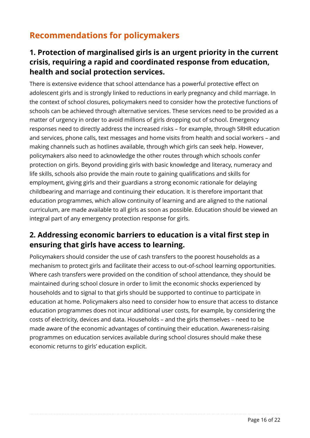# **Recommendations for policymakers**

## **1. Protection of marginalised girls is an urgent priority in the current crisis, requiring a rapid and coordinated response from education, health and social protection services.**

There is extensive evidence that school attendance has a powerful protective effect on adolescent girls and is strongly linked to reductions in early pregnancy and child marriage. In the context of school closures, policymakers need to consider how the protective functions of schools can be achieved through alternative services. These services need to be provided as a matter of urgency in order to avoid millions of girls dropping out of school. Emergency responses need to directly address the increased risks – for example, through SRHR education and services, phone calls, text messages and home visits from health and social workers – and making channels such as hotlines available, through which girls can seek help. However, policymakers also need to acknowledge the other routes through which schools confer protection on girls. Beyond providing girls with basic knowledge and literacy, numeracy and life skills, schools also provide the main route to gaining qualifications and skills for employment, giving girls and their guardians a strong economic rationale for delaying childbearing and marriage and continuing their education. It is therefore important that education programmes, which allow continuity of learning and are aligned to the national curriculum, are made available to all girls as soon as possible. Education should be viewed an integral part of any emergency protection response for girls.

## **2. Addressing economic barriers to education is a vital first step in ensuring that girls have access to learning.**

Policymakers should consider the use of cash transfers to the poorest households as a mechanism to protect girls and facilitate their access to out-of-school learning opportunities. Where cash transfers were provided on the condition of school attendance, they should be maintained during school closure in order to limit the economic shocks experienced by households and to signal to that girls should be supported to continue to participate in education at home. Policymakers also need to consider how to ensure that access to distance education programmes does not incur additional user costs, for example, by considering the costs of electricity, devices and data. Households – and the girls themselves – need to be made aware of the economic advantages of continuing their education. Awareness-raising programmes on education services available during school closures should make these economic returns to girls' education explicit.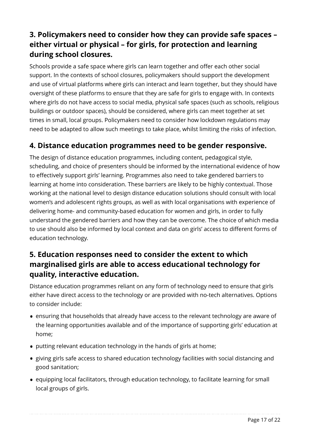# **3. Policymakers need to consider how they can provide safe spaces – either virtual or physical – for girls, for protection and learning during school closures.**

Schools provide a safe space where girls can learn together and offer each other social support. In the contexts of school closures, policymakers should support the development and use of virtual platforms where girls can interact and learn together, but they should have oversight of these platforms to ensure that they are safe for girls to engage with. In contexts where girls do not have access to social media, physical safe spaces (such as schools, religious buildings or outdoor spaces), should be considered, where girls can meet together at set times in small, local groups. Policymakers need to consider how lockdown regulations may need to be adapted to allow such meetings to take place, whilst limiting the risks of infection.

## **4. Distance education programmes need to be gender responsive.**

The design of distance education programmes, including content, pedagogical style, scheduling, and choice of presenters should be informed by the international evidence of how to effectively support girls' learning. Programmes also need to take gendered barriers to learning at home into consideration. These barriers are likely to be highly contextual. Those working at the national level to design distance education solutions should consult with local women's and adolescent rights groups, as well as with local organisations with experience of delivering home- and community-based education for women and girls, in order to fully understand the gendered barriers and how they can be overcome. The choice of which media to use should also be informed by local context and data on girls' access to different forms of education technology.

## **5. Education responses need to consider the extent to which marginalised girls are able to access educational technology for quality, interactive education.**

Distance education programmes reliant on any form of technology need to ensure that girls either have direct access to the technology or are provided with no-tech alternatives. Options to consider include:

- ensuring that households that already have access to the relevant technology are aware of the learning opportunities available and of the importance of supporting girls' education at home;
- putting relevant education technology in the hands of girls at home;
- giving girls safe access to shared education technology facilities with social distancing and good sanitation;
- equipping local facilitators, through education technology, to facilitate learning for small local groups of girls.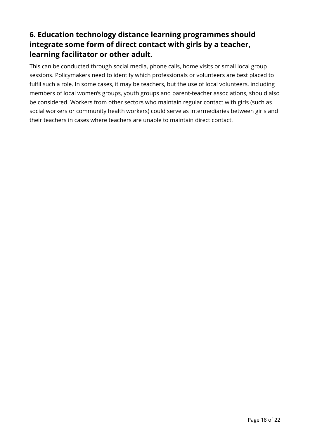## **6. Education technology distance learning programmes should integrate some form of direct contact with girls by a teacher, learning facilitator or other adult.**

This can be conducted through social media, phone calls, home visits or small local group sessions. Policymakers need to identify which professionals or volunteers are best placed to fulfil such a role. In some cases, it may be teachers, but the use of local volunteers, including members of local women's groups, youth groups and parent-teacher associations, should also be considered. Workers from other sectors who maintain regular contact with girls (such as social workers or community health workers) could serve as intermediaries between girls and their teachers in cases where teachers are unable to maintain direct contact.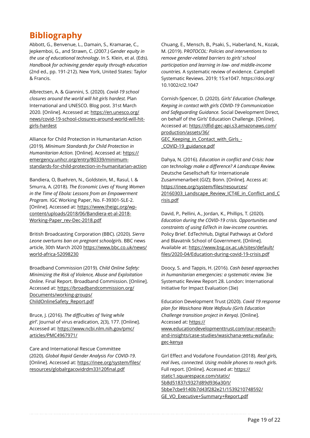## **Bibliography**

Abbott, G., Benvenue, L., Damain, S., Kramarae, C., Jepkemboi, G., and Strawn, C. (2007.) G*ender equity in the use of educational technology*. In S. Klein, et al. (Eds). *Handbook for achieving gender equity through education* (2nd ed., pp. 191-212). New York, United States: Taylor & Francis.

Albrectsen, A. & Giannini, S. (2020). *Covid-19 school closures around the world will hit girls hardest.* Plan International and UNESCO. Blog post. 31st March 2020. [Online]. Accessed at: [https://en.unesco.org/](https://en.unesco.org/news/covid-19-school-closures-around-world-will-hit-girls-hardest) [news/covid-19-school-closures-around-world-will-hit](https://en.unesco.org/news/covid-19-school-closures-around-world-will-hit-girls-hardest)[girls-hardest](https://en.unesco.org/news/covid-19-school-closures-around-world-will-hit-girls-hardest)

Alliance for Child Protection in Humanitarian Action (2019). *Minimum Standards for Child Protection in Humanitarian Action.* [\[Online\]. Accessed at: https://](https://emergency.unhcr.org/entry/80339/minimum-standards-for-child-protection-in-humanitarian-action) [emergency.unhcr.org/entry/80339/minimum](https://emergency.unhcr.org/entry/80339/minimum-standards-for-child-protection-in-humanitarian-action)[standards-for-child-protection-in-humanitarian-action](https://emergency.unhcr.org/entry/80339/minimum-standards-for-child-protection-in-humanitarian-action)

Bandiera, O, Buehren, N., Goldstein, M., Rasul, I. & Smurra, A. (2018). *The Economic Lives of Young Women in the Time of Ebola: Lessons from an Empowerment Program.* IGC Working Paper, No. F-39301-SLE-2. [Online]. Accessed at: [https://www.theigc.org/wp](https://www.theigc.org/wp-content/uploads/2018/06/Bandiera-et-al-2018-Working-Paper_rev-Dec-2018.pdf)[content/uploads/2018/06/Bandiera-et-al-2018-](https://www.theigc.org/wp-content/uploads/2018/06/Bandiera-et-al-2018-Working-Paper_rev-Dec-2018.pdf) [Working-Paper\\_rev-Dec-2018.pdf](https://www.theigc.org/wp-content/uploads/2018/06/Bandiera-et-al-2018-Working-Paper_rev-Dec-2018.pdf)

British Broadcasting Corporation (BBC). (2020). *Sierra Leone overturns ban on pregnant schoolgirls*. BBC news article, 30th March 2020 [https://www.bbc.co.uk/news/](https://www.bbc.co.uk/news/world-africa-52098230) [world-africa-52098230](https://www.bbc.co.uk/news/world-africa-52098230)

Broadband Commission (2019). *Child Online Safety: Minimizing the Risk of Violence, Abuse and Exploitation Online.* Final Report. Broadband Commission. [Online]. [Accessed at: https://broadbandcommission.org/](https://broadbandcommission.org/Documents/working-groups/ChildOnlineSafety_Report.pdf) [Documents/working-groups/](https://broadbandcommission.org/Documents/working-groups/ChildOnlineSafety_Report.pdf) [ChildOnlineSafety\\_Report.pdf](https://broadbandcommission.org/Documents/working-groups/ChildOnlineSafety_Report.pdf)

Bruce, J. (2016). *The difficulties of 'living while girl'*. Journal of virus eradication, 2(3), 177. [Online]. [Accessed at: https://www.ncbi.nlm.nih.gov/pmc/](https://www.ncbi.nlm.nih.gov/pmc/articles/PMC4967971/) [articles/PMC4967971/](https://www.ncbi.nlm.nih.gov/pmc/articles/PMC4967971/) 

Care and International Rescue Committee (2020). *Global Rapid Gender Analysis For COVID-19*. [Online]. Accessed at: [https://inee.org/system/](https://inee.org/system/files/resources/globalrgacovidrdm33120final.pdf)files/ [resources/globalrgacovidrdm33120](https://inee.org/system/files/resources/globalrgacovidrdm33120final.pdf)final.pdf

Chuang, E., Mensch, B., Psaki, S., Haberland, N., Kozak, M. (2019). P*ROTOCOL: Policies and interventions to remove gender-related barriers to girls' school participation and learning in low- and middle-income countries.* A systematic review of evidence. Campbell Systematic Reviews. 2019; 15:e1047. [https://doi.org/](https://doi.org/10.1002/cl2.1047) [10.1002/cl2.1047](https://doi.org/10.1002/cl2.1047) 

Cornish-Spencer, D. (2020). *Girls' Education Challenge. Keeping in contact with girls COVID-19 Communication and Safeguarding Guidance.* Social Development Direct, on behalf of the Girls' Education Challenge. [Online]. Accessed at: https://dfi[d-gec-api.s3.amazonaws.com/](https://dfid-gec-api.s3.amazonaws.com/production/assets/36/GEC_Keeping_in_Contact_with_Girls_-_COVID-19_guidance.pdf) [production/assets/36/](https://dfid-gec-api.s3.amazonaws.com/production/assets/36/GEC_Keeping_in_Contact_with_Girls_-_COVID-19_guidance.pdf) [GEC\\_Keeping\\_in\\_Contact\\_with\\_Girls\\_-](https://dfid-gec-api.s3.amazonaws.com/production/assets/36/GEC_Keeping_in_Contact_with_Girls_-_COVID-19_guidance.pdf)

[\\_COVID-19\\_guidance.pdf](https://dfid-gec-api.s3.amazonaws.com/production/assets/36/GEC_Keeping_in_Contact_with_Girls_-_COVID-19_guidance.pdf)

Dahya, N. (2016). *Education in conflict and Crisis: how can technology make a difference? A Landscape Review.* Deutsche Gesellschaft für Internationale Zusammenarbeit (GIZ); Bonn. [Online]. Access at: [https://inee.org/system/](https://inee.org/system/files/resources/20160303_Landscape_Review_ICT4E_in_Conflict_and_Crisis.pdf)files/resources/ 20160303 Landscape Review ICT4E in Conflict and C [risis.pdf](https://inee.org/system/files/resources/20160303_Landscape_Review_ICT4E_in_Conflict_and_Crisis.pdf) 

David, P., Pellini, A., Jordan, K., Phillips, T. (2020). *Education during the COVID-19 crisis. Opportunities and constraints of using EdTech in low-income countries.* Policy Brief. EdTechHub, Digital Pathways at Oxford and Blavatnik School of Government. [Online]. [Available at: https://www.bsg.ox.ac.uk/sites/default/](https://www.bsg.ox.ac.uk/sites/default/files/2020-04/Education-during-covid-19-crisis.pdf) fi[les/2020-04/Education-during-covid-19-crisis.pdf](https://www.bsg.ox.ac.uk/sites/default/files/2020-04/Education-during-covid-19-crisis.pdf) 

Doocy, S. and Tappis, H. (2016). *Cash based approaches in humanitarian emergencies: a systematic review.* 3ie Systematic Review Report 28. London: International Initiative for Impact Evaluation (3ie)

Education Development Trust (2020). *Covid 19 response plan for Wasichana Wote Wafaulu (Girls Education Challenge transition project in Kenya)*. [Online]. Accessed at: [https://](https://www.educationdevelopmenttrust.com/our-research-and-insights/case-studies/wasichana-wetu-wafaulu-gec-kenya) [www.educationdevelopmenttrust.com/our-research](https://www.educationdevelopmenttrust.com/our-research-and-insights/case-studies/wasichana-wetu-wafaulu-gec-kenya)[and-insights/case-studies/wasichana-wetu-wafaulu](https://www.educationdevelopmenttrust.com/our-research-and-insights/case-studies/wasichana-wetu-wafaulu-gec-kenya)[gec-kenya](https://www.educationdevelopmenttrust.com/our-research-and-insights/case-studies/wasichana-wetu-wafaulu-gec-kenya)

Girl Effect and Vodafone Foundation (2018). *Real girls, real lives, connected. Using mobile phones to reach girls.* Full report. [Online]. Accessed at: [https://](https://static1.squarespace.com/static/5b8d51837c9327d89d936a30/t/5bbe7cbe9140b7d43f282e21/1539210748592/GE_VO_Executive+Summary+Report.pdf) [static1.squarespace.com/static/](https://static1.squarespace.com/static/5b8d51837c9327d89d936a30/t/5bbe7cbe9140b7d43f282e21/1539210748592/GE_VO_Executive+Summary+Report.pdf) [5b8d51837c9327d89d936a30/t/](https://static1.squarespace.com/static/5b8d51837c9327d89d936a30/t/5bbe7cbe9140b7d43f282e21/1539210748592/GE_VO_Executive+Summary+Report.pdf) [5bbe7cbe9140b7d43f282e21/1539210748592/](https://static1.squarespace.com/static/5b8d51837c9327d89d936a30/t/5bbe7cbe9140b7d43f282e21/1539210748592/GE_VO_Executive+Summary+Report.pdf) [GE\\_VO\\_Executive+Summary+Report.pdf](https://static1.squarespace.com/static/5b8d51837c9327d89d936a30/t/5bbe7cbe9140b7d43f282e21/1539210748592/GE_VO_Executive+Summary+Report.pdf)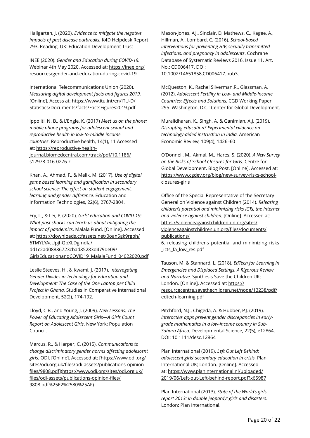Hallgarten, J. (2020). *Evidence to mitigate the negative impacts of past disease outbreaks.* K4D Helpdesk Report 793, Reading, UK: Education Development Trust

INEE (2020). *Gender and Education during COVID-19.* [Webinar 4th May 2020. Accessed at: https://inee.org/](https://inee.org/resources/gender-and-education-during-covid-19) [resources/gender-and-education-during-covid-19](https://inee.org/resources/gender-and-education-during-covid-19) 

International Telecommunications Union (2020). *Measuring digital development facts and figures 2019.* [Online]. Access at: [https://www.itu.int/en/ITU-D/](https://www.itu.int/en/ITU-D/Statistics/Documents/facts/FactsFigures2019.pdf) [Statistics/Documents/facts/FactsFigures2019.pdf](https://www.itu.int/en/ITU-D/Statistics/Documents/facts/FactsFigures2019.pdf)

Ippoliti, N. B., & L'Engle, K. (2017) *Meet us on the phone: mobile phone programs for adolescent sexual and reproductive health in low-to-middle income countries*. Reproductive health, 14(1), 11 Accessed at: [https://reproductive-health](https://reproductive-health-journal.biomedcentral.com/track/pdf/10.1186/s12978-016-0276-z)[journal.biomedcentral.com/track/pdf/10.1186/](https://reproductive-health-journal.biomedcentral.com/track/pdf/10.1186/s12978-016-0276-z) [s12978-016-0276-z](https://reproductive-health-journal.biomedcentral.com/track/pdf/10.1186/s12978-016-0276-z)

Khan, A., Ahmad, F., & Malik, M. (2017). *Use of digital game based learning and gamification in secondary school science: The effect on student engagement, learning and gender difference.* Education and Information Technologies, 22(6), 2767-2804.

Fry, L., & Lei, P. (2020). *Girls' education and COVID-19: What past shocks can teach us about mitigating the impact of pandemics*. Malala Fund. [Online]. Accessed [at: https://downloads.ctfassets.net/0oan5gk9rgbh/](https://downloads.ctfassets.net/0oan5gk9rgbh/6TMYLYAcUpjhQpXLDgmdIa/dd1c2ad08886723cbad85283d479de09/GirlsEducationandCOVID19_MalalaFund_04022020.pdf) [6TMYLYAcUpjhQpXLDgmdIa/](https://downloads.ctfassets.net/0oan5gk9rgbh/6TMYLYAcUpjhQpXLDgmdIa/dd1c2ad08886723cbad85283d479de09/GirlsEducationandCOVID19_MalalaFund_04022020.pdf) [dd1c2ad08886723cbad85283d479de09/](https://downloads.ctfassets.net/0oan5gk9rgbh/6TMYLYAcUpjhQpXLDgmdIa/dd1c2ad08886723cbad85283d479de09/GirlsEducationandCOVID19_MalalaFund_04022020.pdf) [GirlsEducationandCOVID19\\_MalalaFund\\_04022020.pdf](https://downloads.ctfassets.net/0oan5gk9rgbh/6TMYLYAcUpjhQpXLDgmdIa/dd1c2ad08886723cbad85283d479de09/GirlsEducationandCOVID19_MalalaFund_04022020.pdf)

Leslie Steeves, H., & Kwami, J. (2017). I*nterrogating Gender Divides in Technology for Education and Development: The Case of the One Laptop per Child Project in Ghana.* Studies in Comparative International Development, 52(2), 174-192.

Lloyd, C.B., and Young, J. (2009). *New Lessons: The Power of Educating Adolescent Girls—A Girls Count Report on Adolescent Girls*. New York: Population Council.

Marcus, R., & Harper, C. (2015). *Communications to change discriminatory gender norms affecting adolescent girls.* ODI. [\[Online\]. Accessed at: \[https://www.odi.org/](https://www.odi.org/sites/odi.org.uk/files/odi-assets/publications-opinion-files/9808.pdf) sites/odi.org.uk/fi[les/odi-assets/publications-opinion](https://www.odi.org/sites/odi.org.uk/files/odi-assets/publications-opinion-files/9808.pdf)fi[les/9808.pdf](https://www.odi.org/sites/odi.org.uk/files/odi-assets/publications-opinion-files/9808.pdf)[\]\(https://www.odi.org/sites/odi.org.uk/](https://www.odi.org/sites/odi.org.uk/files/odi-assets/publications-opinion-files/9808.pdf%25E2%2580%25AF) fi[les/odi-assets/publications-opinion-](https://www.odi.org/sites/odi.org.uk/files/odi-assets/publications-opinion-files/9808.pdf%25E2%2580%25AF)files/ [9808.pdf%25E2%2580%25AF\)](https://www.odi.org/sites/odi.org.uk/files/odi-assets/publications-opinion-files/9808.pdf%25E2%2580%25AF)

Mason-Jones, AJ., Sinclair, D, Mathews, C., Kagee, A., Hillman, A., Lombard, C. (2016). *School-based interventions for preventing HIV, sexually transmitted infections, and pregnancy in adolescents*. Cochrane Database of Systematic Reviews 2016, Issue 11. Art. No.: CD006417. DOI: 10.1002/14651858.CD006417.pub3.

McQueston, K., Rachel Silverman,R., Glassman, A. (2012). *Adolescent Fertility in Low- and Middle-Income Countries: Effects and Solutions.* CGD Working Paper 295. Washington, D.C.: Center for Global Development.

Muralidharan, K., Singh, A. & Ganimian, A.J. (2019). *Disrupting education? Experimental evidence on technology-aided instruction in India.* American Economic Review, 109(4), 1426–60

O'Donnell, M., Akmal, M., Hares, S. (2020). *A New Survey on the Risks of School Closures for Girls.* Centre for Global Development. Blog Post. [Online]. Accessed at: [https://www.cgdev.org/blog/new-survey-risks-school](https://www.cgdev.org/blog/new-survey-risks-school-closures-girls)[closures-girls](https://www.cgdev.org/blog/new-survey-risks-school-closures-girls)

Office of the Special Representative of the Secretary-General on Violence against Children (2014). *Releasing children's potential and minimizing risks ICTs, the Internet and violence against children.* [Online]. Accessed at: [https://violenceagainstchildren.un.org/sites/](https://violenceagainstchildren.un.org/sites/violenceagainstchildren.un.org/files/documents/publications/6._releasing_childrens_potential_and_minimizing_risks_icts_fa_low_res.pdf) [violenceagainstchildren.un.org/](https://violenceagainstchildren.un.org/sites/violenceagainstchildren.un.org/files/documents/publications/6._releasing_childrens_potential_and_minimizing_risks_icts_fa_low_res.pdf)files/documents/ [publications/](https://violenceagainstchildren.un.org/sites/violenceagainstchildren.un.org/files/documents/publications/6._releasing_childrens_potential_and_minimizing_risks_icts_fa_low_res.pdf)

6. releasing childrens potential and minimizing risks [\\_icts\\_fa\\_low\\_res.pdf](https://violenceagainstchildren.un.org/sites/violenceagainstchildren.un.org/files/documents/publications/6._releasing_childrens_potential_and_minimizing_risks_icts_fa_low_res.pdf) 

Tauson, M. & Stannard, L. (2018). *EdTech for Learning in Emergencies and Displaced Settings. A Rigorous Review and Narrative.* Synthesis Save the Children UK; London. [Online]. Accessed at: [https://](https://resourcecentre.savethechildren.net/node/13238/pdf/edtech-learning.pdf) [resourcecentre.savethechildren.net/node/13238/pdf/](https://resourcecentre.savethechildren.net/node/13238/pdf/edtech-learning.pdf) [edtech-learning.pdf](https://resourcecentre.savethechildren.net/node/13238/pdf/edtech-learning.pdf)

Pitchford, N.J., Chigeda, A. & Hubber, P.J. (2019). *Interactive apps prevent gender discrepancies in earlygrade mathematics in a low-income country in Sub-Sahara Africa.* Developmental Science, 22(5), e12864. DOI: 10.1111/desc.12864

Plan International (2019). *Left Out Left Behind: adolescent girls' secondary education in crisis.* Plan International UK; London. [Online]. Accessed at: [https://www.planinternational.nl/uploaded/](https://www.planinternational.nl/uploaded/2019/06/Left-out-Left-behind-report.pdf?x65987) [2019/06/Left-out-Left-behind-report.pdf?x65987](https://www.planinternational.nl/uploaded/2019/06/Left-out-Left-behind-report.pdf?x65987)

Plan International (2013). *State of the World's girls report 2013: in double jeopardy: girls and disasters.* London: Plan International.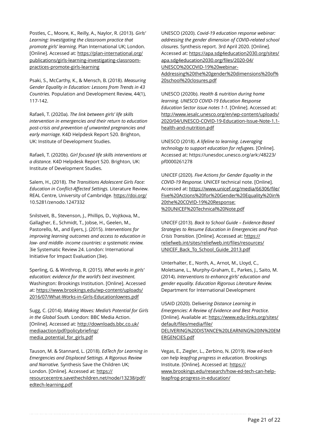Postles, C., Moore, K., Reilly, A., Naylor, R. (2013). *Girls' Learning: Investigating the classroom practice that promote girls' learning.* Plan International UK; London. [\[Online\]. Accessed at: https://plan-international.org/](https://plan-international.org/publications/girls-learning-investigating-classroom-practices-promote-girls-learning) [publications/girls-learning-investigating-classroom](https://plan-international.org/publications/girls-learning-investigating-classroom-practices-promote-girls-learning)[practices-promote-girls-learning](https://plan-international.org/publications/girls-learning-investigating-classroom-practices-promote-girls-learning)

Psaki, S., McCarthy, K., & Mensch, B. (2018). *Measuring Gender Equality in Education: Lessons from Trends in 43 Countries.* Population and Development Review, 44(1), 117-142.

Rafaeli, T. (2020a). *The link between girls' life skills intervention in emergencies and their return to education post-crisis and prevention of unwanted pregnancies and early marriage.* K4D Helpdesk Report 520. Brighton, UK: Institute of Development Studies.

Rafaeli, T. (2020b). *Girl focused life skills interventions at a distance.* K4D Helpdesk Report 520. Brighton, UK: Institute of Development Studies.

Salem, H., (2018). *The Transitions Adolescent Girls Face: Education in Conflict-Affected Settings.* Literature Review. REAL Centre, University of Cambridge.<https://doi.org/> 10.5281/zenodo.1247332

Snilstveit, B., Stevenson, J., Phillips, D., Vojtkova, M., Gallagher, E., Schmidt, T., Jobse, H., Geelen, M., Pastorello, M., and Eyers, J. (2015). *Interventions for improving learning outcomes and access to education in low- and middle- income countries: a systematic review.* 3ie Systematic Review 24. London: International Initiative for Impact Evaluation (3ie).

Sperling, G. & Winthrop, R. (2015). *What works in girls' education: evidence for the world's best investment.* Washington: Brookings Institution. [Online]. Accessed [at: https://www.brookings.edu/wp-content/uploads/](https://www.brookings.edu/wp-content/uploads/2016/07/What-Works-in-Girls-Educationlowres.pdf) [2016/07/What-Works-in-Girls-Educationlowres.pdf](https://www.brookings.edu/wp-content/uploads/2016/07/What-Works-in-Girls-Educationlowres.pdf) 

Sugg, C. (2014). *Making Waves: Media's Potential for Girls in the Global South.* London: BBC Media Action. [Online]. Accessed at: [http://downloads.bbc.co.uk/](http://downloads.bbc.co.uk/mediaaction/pdf/policybriefing/media_potential_for_girls.pdf) [mediaaction/pdf/policybrie](http://downloads.bbc.co.uk/mediaaction/pdf/policybriefing/media_potential_for_girls.pdf)fing/ [media\\_potential\\_for\\_girls.pdf](http://downloads.bbc.co.uk/mediaaction/pdf/policybriefing/media_potential_for_girls.pdf)

Tauson, M. & Stannard, L. (2018). *EdTech for Learning in Emergencies and Displaced Settings. A Rigorous Review and Narrative.* Synthesis Save the Children UK; London. [Online]. Accessed at: [https://](https://resourcecentre.savethechildren.net/node/13238/pdf/edtech-learning.pdf) [resourcecentre.savethechildren.net/node/13238/pdf/](https://resourcecentre.savethechildren.net/node/13238/pdf/edtech-learning.pdf) [edtech-learning.pdf](https://resourcecentre.savethechildren.net/node/13238/pdf/edtech-learning.pdf)

UNESCO (2020). *Covid-19 education response webinar: addressing the gender dimension of COVID-related school closures.* Synthesis report. 3rd April 2020. [Online]. Accessed at: [https://apa.sdg4education2030.org/sites/](https://apa.sdg4education2030.org/sites/apa.sdg4education2030.org/files/2020-04/UNESCO%20COVID-19%20webinar-Addressing%20the%20gender%20dimensions%20of%20school%20closures.pdf) [apa.sdg4education2030.org/](https://apa.sdg4education2030.org/sites/apa.sdg4education2030.org/files/2020-04/UNESCO%20COVID-19%20webinar-Addressing%20the%20gender%20dimensions%20of%20school%20closures.pdf)files/2020-04/ [UNESCO%20COVID-19%20webinar-](https://apa.sdg4education2030.org/sites/apa.sdg4education2030.org/files/2020-04/UNESCO%20COVID-19%20webinar-Addressing%20the%20gender%20dimensions%20of%20school%20closures.pdf)[Addressing%20the%20gender%20dimensions%20of%](https://apa.sdg4education2030.org/sites/apa.sdg4education2030.org/files/2020-04/UNESCO%20COVID-19%20webinar-Addressing%20the%20gender%20dimensions%20of%20school%20closures.pdf) [20school%20closures.pdf](https://apa.sdg4education2030.org/sites/apa.sdg4education2030.org/files/2020-04/UNESCO%20COVID-19%20webinar-Addressing%20the%20gender%20dimensions%20of%20school%20closures.pdf)

UNESCO (2020b). *Health & nutrition during home learning. UNESCO COVID-19 Education Response Education Sector issue notes 1-1.* [Online]. Accessed at: [http://www.iesalc.unesco.org/en/wp-content/uploads/](http://www.iesalc.unesco.org/en/wp-content/uploads/2020/04/UNESCO-COVID-19-Education-Issue-Note-1.1-health-and-nutrition.pdf) [2020/04/UNESCO-COVID-19-Education-Issue-Note-1.1](http://www.iesalc.unesco.org/en/wp-content/uploads/2020/04/UNESCO-COVID-19-Education-Issue-Note-1.1-health-and-nutrition.pdf) [health-and-nutrition.pdf](http://www.iesalc.unesco.org/en/wp-content/uploads/2020/04/UNESCO-COVID-19-Education-Issue-Note-1.1-health-and-nutrition.pdf)

UNESCO (2018). *A lifeline to learning. Leveraging technology to support education for refugees.* [Online]. Accessed at: [https://unesdoc.unesco.org/ark:/48223/](https://unesdoc.unesco.org/ark:/48223/pf0000261278) [pf0000261278](https://unesdoc.unesco.org/ark:/48223/pf0000261278) 

UNICEF (2020). *Five Actions for Gender Equality in the COVID-19 Response.* UNICEF technical note. [Online]. Accessed at: [https://www.unicef.org/media/66306/](https://www.unicef.org/media/66306/file/Five%20Actions%20for%20Gender%20Equality%20in%20the%20COVID-19%20Response:%20UNICEF%20Technical%20Note.pdf)file/ [Five%20Actions%20for%20Gender%20Equality%20in%](https://www.unicef.org/media/66306/file/Five%20Actions%20for%20Gender%20Equality%20in%20the%20COVID-19%20Response:%20UNICEF%20Technical%20Note.pdf) [20the%20COVID-19%20Response:](https://www.unicef.org/media/66306/file/Five%20Actions%20for%20Gender%20Equality%20in%20the%20COVID-19%20Response:%20UNICEF%20Technical%20Note.pdf) [%20UNICEF%20Technical%20Note.pdf](https://www.unicef.org/media/66306/file/Five%20Actions%20for%20Gender%20Equality%20in%20the%20COVID-19%20Response:%20UNICEF%20Technical%20Note.pdf)

UNICEF (2013). *Back to School Guide – Evidence-Based Strategies to Resume Education in Emergencies and Post-Crisis Transition.* [Online]. Accessed at: [https://](https://reliefweb.int/sites/reliefweb.int/files/resources/UNICEF_Back_To_School_Guide_2013.pdf) [reliefweb.int/sites/reliefweb.int/](https://reliefweb.int/sites/reliefweb.int/files/resources/UNICEF_Back_To_School_Guide_2013.pdf)files/resources/ [UNICEF\\_Back\\_To\\_School\\_Guide\\_2013.pdf](https://reliefweb.int/sites/reliefweb.int/files/resources/UNICEF_Back_To_School_Guide_2013.pdf)

Unterhalter, E., North, A., Arnot, M., Lloyd, C., Moletsane, L., Murphy-Graham, E., Parkes, J., Saito, M. (2014). *Interventions to enhance girls' education and gender equality. Education Rigorous Literature Review.* Department for International Development

USAID (2020). D*elivering Distance Learning in Emergencies: A Review of Evidence and Best Practice.* [\[Online\]. Available at: https://www.edu-links.org/sites/](https://www.edu-links.org/sites/default/files/media/file/DELIVERING%20DISTANCE%20LEARNING%20IN%20EMERGENCIES.pdf) default/fi[les/media/](https://www.edu-links.org/sites/default/files/media/file/DELIVERING%20DISTANCE%20LEARNING%20IN%20EMERGENCIES.pdf)file/ [DELIVERING%20DISTANCE%20LEARNING%20IN%20EM](https://www.edu-links.org/sites/default/files/media/file/DELIVERING%20DISTANCE%20LEARNING%20IN%20EMERGENCIES.pdf) [ERGENCIES.pdf](https://www.edu-links.org/sites/default/files/media/file/DELIVERING%20DISTANCE%20LEARNING%20IN%20EMERGENCIES.pdf)

Vegas, E., Ziegler, L., Zerbino, N. (2019). *How ed-tech can help leapfrog progress in education.* Brookings Institute. [Online]. Accessed at: [https://](https://www.brookings.edu/research/how-ed-tech-can-help-leapfrog-progress-in-education/) [www.brookings.edu/research/how-ed-tech-can-help](https://www.brookings.edu/research/how-ed-tech-can-help-leapfrog-progress-in-education/)[leapfrog-progress-in-education/](https://www.brookings.edu/research/how-ed-tech-can-help-leapfrog-progress-in-education/)